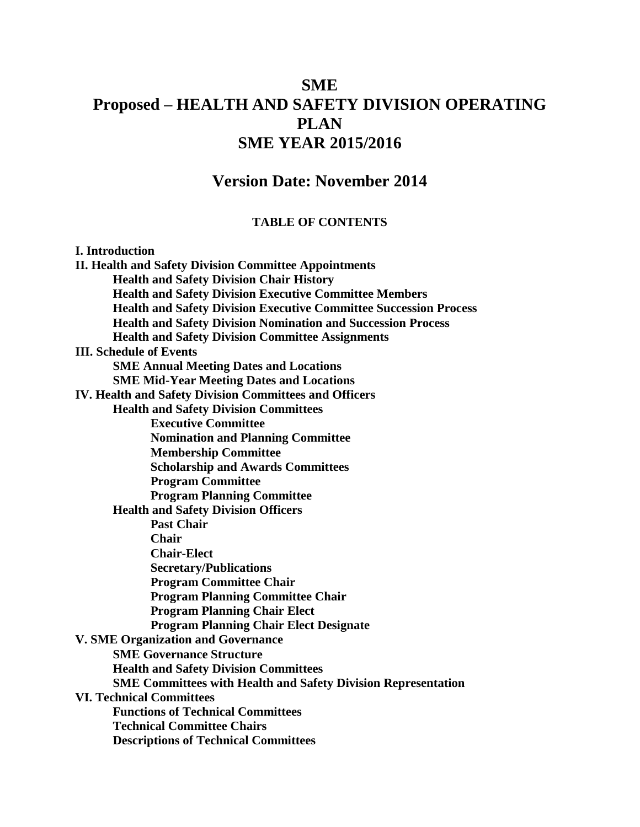# **SME Proposed – HEALTH AND SAFETY DIVISION OPERATING PLAN SME YEAR 2015/2016**

## **Version Date: November 2014**

#### **TABLE OF CONTENTS**

#### **I. Introduction**

**II. Health and Safety Division Committee Appointments Health and Safety Division Chair History Health and Safety Division Executive Committee Members Health and Safety Division Executive Committee Succession Process Health and Safety Division Nomination and Succession Process Health and Safety Division Committee Assignments III. Schedule of Events SME Annual Meeting Dates and Locations SME Mid-Year Meeting Dates and Locations IV. Health and Safety Division Committees and Officers Health and Safety Division Committees Executive Committee Nomination and Planning Committee Membership Committee Scholarship and Awards Committees Program Committee Program Planning Committee Health and Safety Division Officers Past Chair Chair Chair-Elect Secretary/Publications Program Committee Chair Program Planning Committee Chair Program Planning Chair Elect Program Planning Chair Elect Designate V. SME Organization and Governance SME Governance Structure Health and Safety Division Committees SME Committees with Health and Safety Division Representation VI. Technical Committees Functions of Technical Committees Technical Committee Chairs Descriptions of Technical Committees**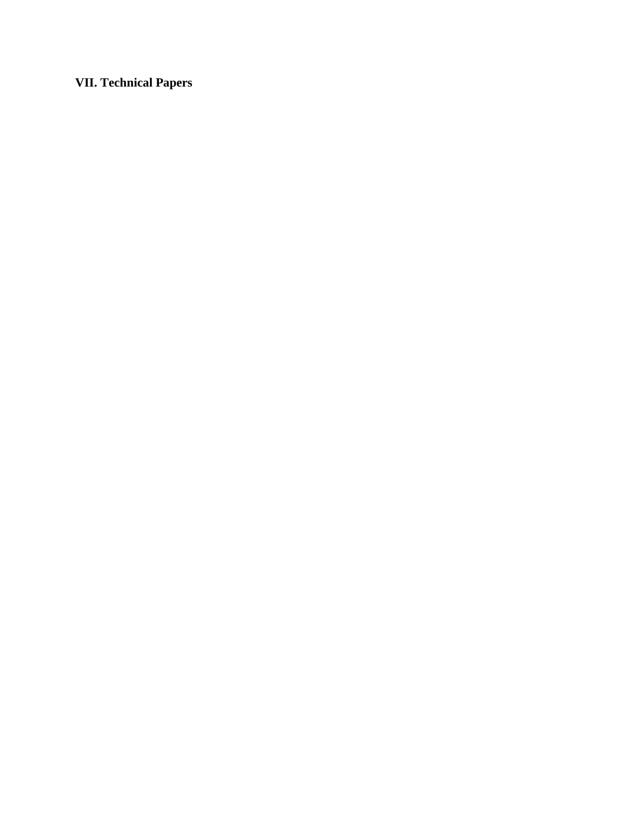**VII. Technical Papers**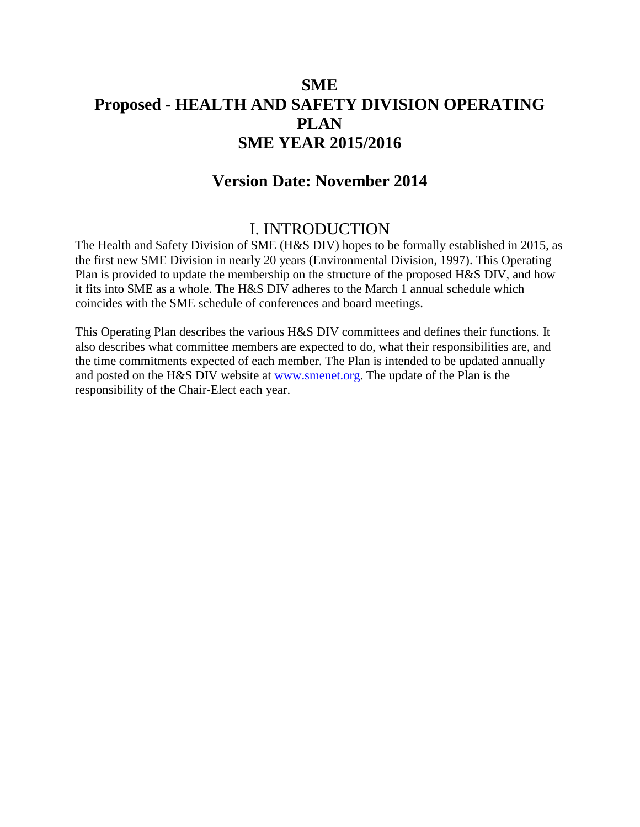# **SME Proposed - HEALTH AND SAFETY DIVISION OPERATING PLAN SME YEAR 2015/2016**

## **Version Date: November 2014**

## I. INTRODUCTION

The Health and Safety Division of SME (H&S DIV) hopes to be formally established in 2015, as the first new SME Division in nearly 20 years (Environmental Division, 1997). This Operating Plan is provided to update the membership on the structure of the proposed H&S DIV, and how it fits into SME as a whole. The H&S DIV adheres to the March 1 annual schedule which coincides with the SME schedule of conferences and board meetings.

This Operating Plan describes the various H&S DIV committees and defines their functions. It also describes what committee members are expected to do, what their responsibilities are, and the time commitments expected of each member. The Plan is intended to be updated annually and posted on the H&S DIV website at www.smenet.org. The update of the Plan is the responsibility of the Chair-Elect each year.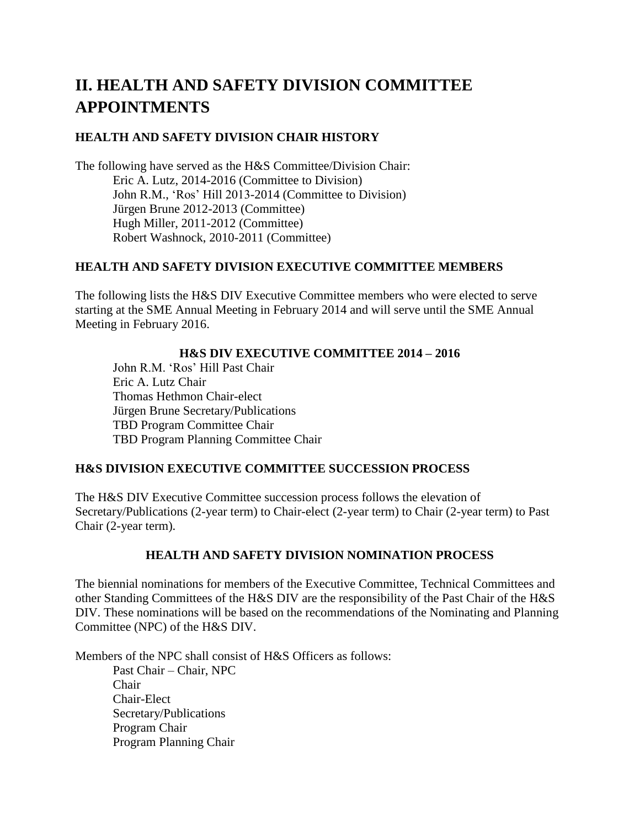# **II. HEALTH AND SAFETY DIVISION COMMITTEE APPOINTMENTS**

## **HEALTH AND SAFETY DIVISION CHAIR HISTORY**

The following have served as the H&S Committee/Division Chair: Eric A. Lutz, 2014-2016 (Committee to Division) John R.M., 'Ros' Hill 2013-2014 (Committee to Division) Jürgen Brune 2012-2013 (Committee) Hugh Miller, 2011-2012 (Committee) Robert Washnock, 2010-2011 (Committee)

## **HEALTH AND SAFETY DIVISION EXECUTIVE COMMITTEE MEMBERS**

The following lists the H&S DIV Executive Committee members who were elected to serve starting at the SME Annual Meeting in February 2014 and will serve until the SME Annual Meeting in February 2016.

#### **H&S DIV EXECUTIVE COMMITTEE 2014 – 2016**

John R.M. 'Ros' Hill Past Chair Eric A. Lutz Chair Thomas Hethmon Chair-elect Jürgen Brune Secretary/Publications TBD Program Committee Chair TBD Program Planning Committee Chair

#### **H&S DIVISION EXECUTIVE COMMITTEE SUCCESSION PROCESS**

The H&S DIV Executive Committee succession process follows the elevation of Secretary/Publications (2-year term) to Chair-elect (2-year term) to Chair (2-year term) to Past Chair (2-year term).

#### **HEALTH AND SAFETY DIVISION NOMINATION PROCESS**

The biennial nominations for members of the Executive Committee, Technical Committees and other Standing Committees of the H&S DIV are the responsibility of the Past Chair of the H&S DIV. These nominations will be based on the recommendations of the Nominating and Planning Committee (NPC) of the H&S DIV.

Members of the NPC shall consist of H&S Officers as follows: Past Chair – Chair, NPC Chair Chair-Elect Secretary/Publications Program Chair Program Planning Chair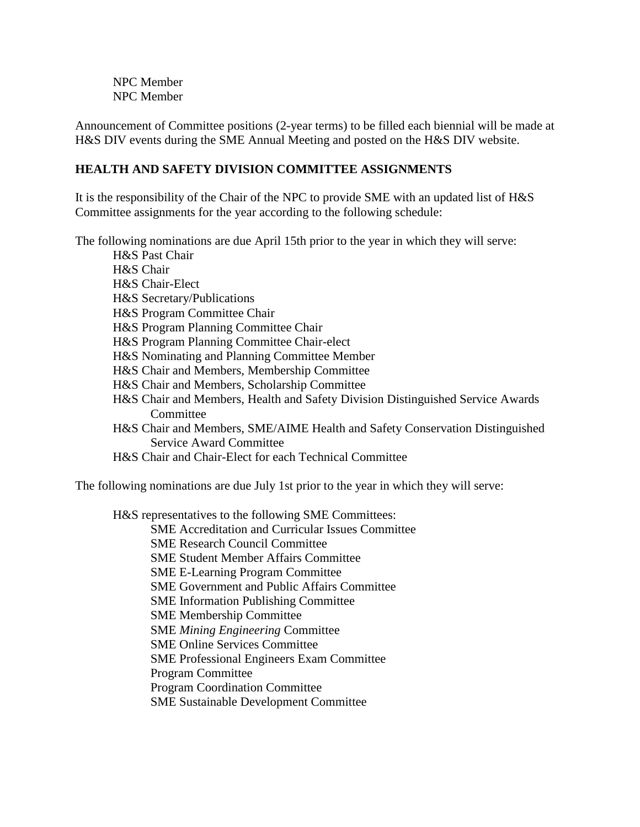NPC Member NPC Member

Announcement of Committee positions (2-year terms) to be filled each biennial will be made at H&S DIV events during the SME Annual Meeting and posted on the H&S DIV website.

## **HEALTH AND SAFETY DIVISION COMMITTEE ASSIGNMENTS**

It is the responsibility of the Chair of the NPC to provide SME with an updated list of H&S Committee assignments for the year according to the following schedule:

The following nominations are due April 15th prior to the year in which they will serve:

H&S Past Chair H&S Chair H&S Chair-Elect H&S Secretary/Publications H&S Program Committee Chair H&S Program Planning Committee Chair H&S Program Planning Committee Chair-elect H&S Nominating and Planning Committee Member H&S Chair and Members, Membership Committee H&S Chair and Members, Scholarship Committee H&S Chair and Members, Health and Safety Division Distinguished Service Awards Committee H&S Chair and Members, SME/AIME Health and Safety Conservation Distinguished Service Award Committee H&S Chair and Chair-Elect for each Technical Committee

The following nominations are due July 1st prior to the year in which they will serve:

H&S representatives to the following SME Committees:

SME Accreditation and Curricular Issues Committee

- SME Research Council Committee
- SME Student Member Affairs Committee
- SME E-Learning Program Committee

SME Government and Public Affairs Committee

SME Information Publishing Committee

SME Membership Committee

SME *Mining Engineering* Committee

SME Online Services Committee

SME Professional Engineers Exam Committee

Program Committee

Program Coordination Committee

SME Sustainable Development Committee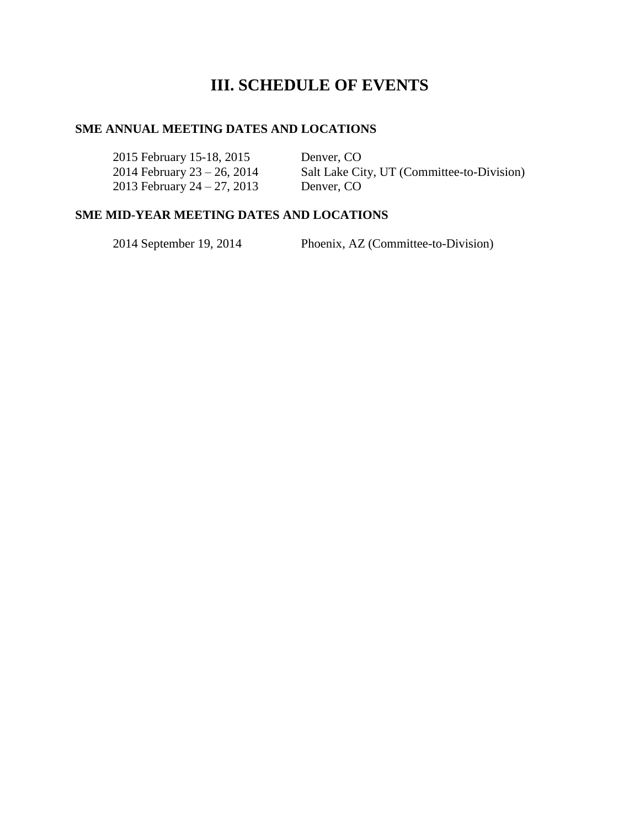# **III. SCHEDULE OF EVENTS**

#### **SME ANNUAL MEETING DATES AND LOCATIONS**

2015 February 15-18, 2015 Denver, CO 2014 February 23 – 26, 2014 Salt Lake City, UT (Committee-to-Division) 2013 February 24 – 27, 2013 Denver, CO

#### **SME MID-YEAR MEETING DATES AND LOCATIONS**

2014 September 19, 2014 Phoenix, AZ (Committee-to-Division)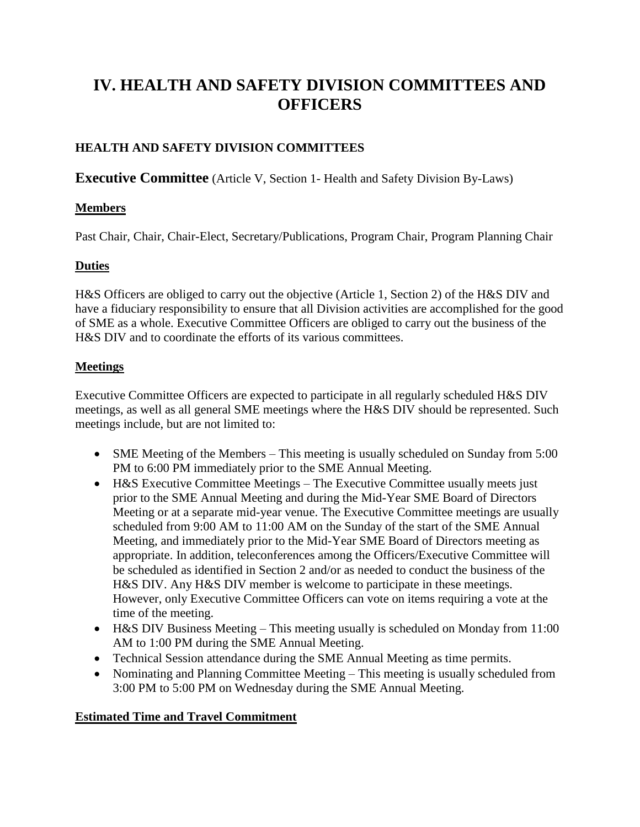# **IV. HEALTH AND SAFETY DIVISION COMMITTEES AND OFFICERS**

## **HEALTH AND SAFETY DIVISION COMMITTEES**

**Executive Committee** (Article V, Section 1- Health and Safety Division By-Laws)

#### **Members**

Past Chair, Chair, Chair-Elect, Secretary/Publications, Program Chair, Program Planning Chair

## **Duties**

H&S Officers are obliged to carry out the objective (Article 1, Section 2) of the H&S DIV and have a fiduciary responsibility to ensure that all Division activities are accomplished for the good of SME as a whole. Executive Committee Officers are obliged to carry out the business of the H&S DIV and to coordinate the efforts of its various committees.

## **Meetings**

Executive Committee Officers are expected to participate in all regularly scheduled H&S DIV meetings, as well as all general SME meetings where the H&S DIV should be represented. Such meetings include, but are not limited to:

- SME Meeting of the Members This meeting is usually scheduled on Sunday from 5:00 PM to 6:00 PM immediately prior to the SME Annual Meeting.
- H&S Executive Committee Meetings The Executive Committee usually meets just prior to the SME Annual Meeting and during the Mid-Year SME Board of Directors Meeting or at a separate mid-year venue. The Executive Committee meetings are usually scheduled from 9:00 AM to 11:00 AM on the Sunday of the start of the SME Annual Meeting, and immediately prior to the Mid-Year SME Board of Directors meeting as appropriate. In addition, teleconferences among the Officers/Executive Committee will be scheduled as identified in Section 2 and/or as needed to conduct the business of the H&S DIV. Any H&S DIV member is welcome to participate in these meetings. However, only Executive Committee Officers can vote on items requiring a vote at the time of the meeting.
- H&S DIV Business Meeting This meeting usually is scheduled on Monday from 11:00 AM to 1:00 PM during the SME Annual Meeting.
- Technical Session attendance during the SME Annual Meeting as time permits.
- Nominating and Planning Committee Meeting This meeting is usually scheduled from 3:00 PM to 5:00 PM on Wednesday during the SME Annual Meeting.

## **Estimated Time and Travel Commitment**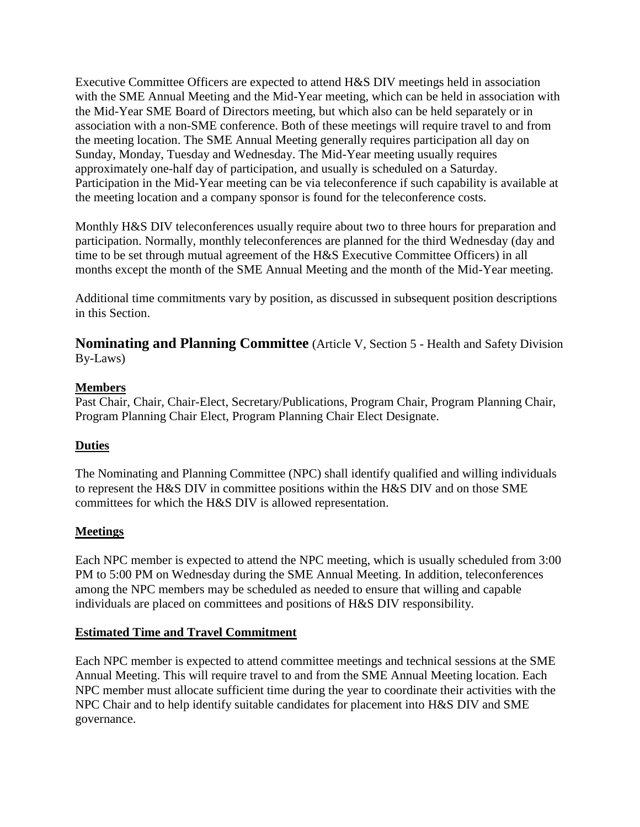Executive Committee Officers are expected to attend H&S DIV meetings held in association with the SME Annual Meeting and the Mid-Year meeting, which can be held in association with the Mid-Year SME Board of Directors meeting, but which also can be held separately or in association with a non-SME conference. Both of these meetings will require travel to and from the meeting location. The SME Annual Meeting generally requires participation all day on Sunday, Monday, Tuesday and Wednesday. The Mid-Year meeting usually requires approximately one-half day of participation, and usually is scheduled on a Saturday. Participation in the Mid-Year meeting can be via teleconference if such capability is available at the meeting location and a company sponsor is found for the teleconference costs.

Monthly H&S DIV teleconferences usually require about two to three hours for preparation and participation. Normally, monthly teleconferences are planned for the third Wednesday (day and time to be set through mutual agreement of the H&S Executive Committee Officers) in all months except the month of the SME Annual Meeting and the month of the Mid-Year meeting.

Additional time commitments vary by position, as discussed in subsequent position descriptions in this Section.

**Nominating and Planning Committee** (Article V, Section 5 - Health and Safety Division By-Laws)

## **Members**

Past Chair, Chair, Chair-Elect, Secretary/Publications, Program Chair, Program Planning Chair, Program Planning Chair Elect, Program Planning Chair Elect Designate.

## **Duties**

The Nominating and Planning Committee (NPC) shall identify qualified and willing individuals to represent the H&S DIV in committee positions within the H&S DIV and on those SME committees for which the H&S DIV is allowed representation.

## **Meetings**

Each NPC member is expected to attend the NPC meeting, which is usually scheduled from 3:00 PM to 5:00 PM on Wednesday during the SME Annual Meeting. In addition, teleconferences among the NPC members may be scheduled as needed to ensure that willing and capable individuals are placed on committees and positions of H&S DIV responsibility.

## **Estimated Time and Travel Commitment**

Each NPC member is expected to attend committee meetings and technical sessions at the SME Annual Meeting. This will require travel to and from the SME Annual Meeting location. Each NPC member must allocate sufficient time during the year to coordinate their activities with the NPC Chair and to help identify suitable candidates for placement into H&S DIV and SME governance.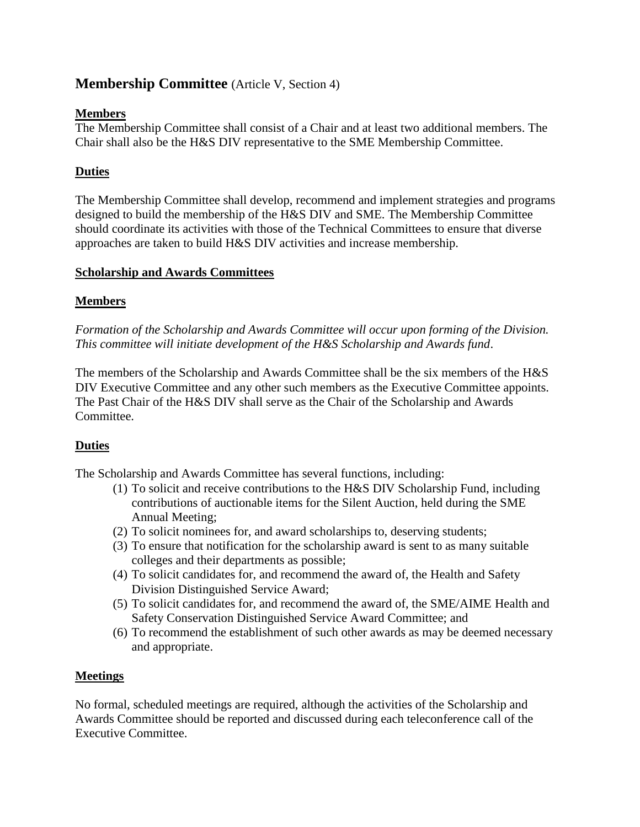## **Membership Committee** (Article V, Section 4)

## **Members**

The Membership Committee shall consist of a Chair and at least two additional members. The Chair shall also be the H&S DIV representative to the SME Membership Committee.

## **Duties**

The Membership Committee shall develop, recommend and implement strategies and programs designed to build the membership of the H&S DIV and SME. The Membership Committee should coordinate its activities with those of the Technical Committees to ensure that diverse approaches are taken to build H&S DIV activities and increase membership.

## **Scholarship and Awards Committees**

## **Members**

*Formation of the Scholarship and Awards Committee will occur upon forming of the Division. This committee will initiate development of the H&S Scholarship and Awards fund*.

The members of the Scholarship and Awards Committee shall be the six members of the H&S DIV Executive Committee and any other such members as the Executive Committee appoints. The Past Chair of the H&S DIV shall serve as the Chair of the Scholarship and Awards Committee.

## **Duties**

The Scholarship and Awards Committee has several functions, including:

- (1) To solicit and receive contributions to the H&S DIV Scholarship Fund, including contributions of auctionable items for the Silent Auction, held during the SME Annual Meeting;
- (2) To solicit nominees for, and award scholarships to, deserving students;
- (3) To ensure that notification for the scholarship award is sent to as many suitable colleges and their departments as possible;
- (4) To solicit candidates for, and recommend the award of, the Health and Safety Division Distinguished Service Award;
- (5) To solicit candidates for, and recommend the award of, the SME/AIME Health and Safety Conservation Distinguished Service Award Committee; and
- (6) To recommend the establishment of such other awards as may be deemed necessary and appropriate.

## **Meetings**

No formal, scheduled meetings are required, although the activities of the Scholarship and Awards Committee should be reported and discussed during each teleconference call of the Executive Committee.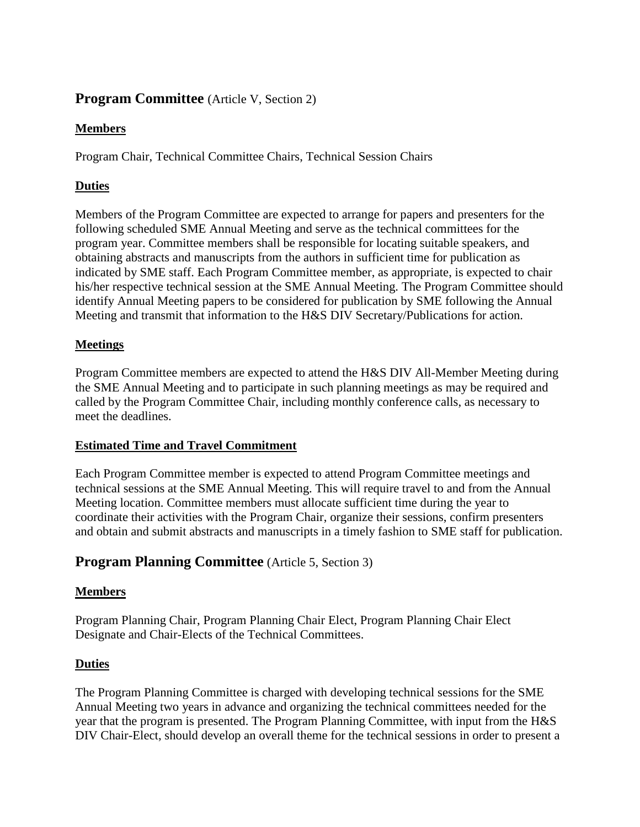## **Program Committee** (Article V, Section 2)

## **Members**

Program Chair, Technical Committee Chairs, Technical Session Chairs

## **Duties**

Members of the Program Committee are expected to arrange for papers and presenters for the following scheduled SME Annual Meeting and serve as the technical committees for the program year. Committee members shall be responsible for locating suitable speakers, and obtaining abstracts and manuscripts from the authors in sufficient time for publication as indicated by SME staff. Each Program Committee member, as appropriate, is expected to chair his/her respective technical session at the SME Annual Meeting. The Program Committee should identify Annual Meeting papers to be considered for publication by SME following the Annual Meeting and transmit that information to the H&S DIV Secretary/Publications for action.

## **Meetings**

Program Committee members are expected to attend the H&S DIV All-Member Meeting during the SME Annual Meeting and to participate in such planning meetings as may be required and called by the Program Committee Chair, including monthly conference calls, as necessary to meet the deadlines.

## **Estimated Time and Travel Commitment**

Each Program Committee member is expected to attend Program Committee meetings and technical sessions at the SME Annual Meeting. This will require travel to and from the Annual Meeting location. Committee members must allocate sufficient time during the year to coordinate their activities with the Program Chair, organize their sessions, confirm presenters and obtain and submit abstracts and manuscripts in a timely fashion to SME staff for publication.

## **Program Planning Committee** (Article 5, Section 3)

## **Members**

Program Planning Chair, Program Planning Chair Elect, Program Planning Chair Elect Designate and Chair-Elects of the Technical Committees.

## **Duties**

The Program Planning Committee is charged with developing technical sessions for the SME Annual Meeting two years in advance and organizing the technical committees needed for the year that the program is presented. The Program Planning Committee, with input from the H&S DIV Chair-Elect, should develop an overall theme for the technical sessions in order to present a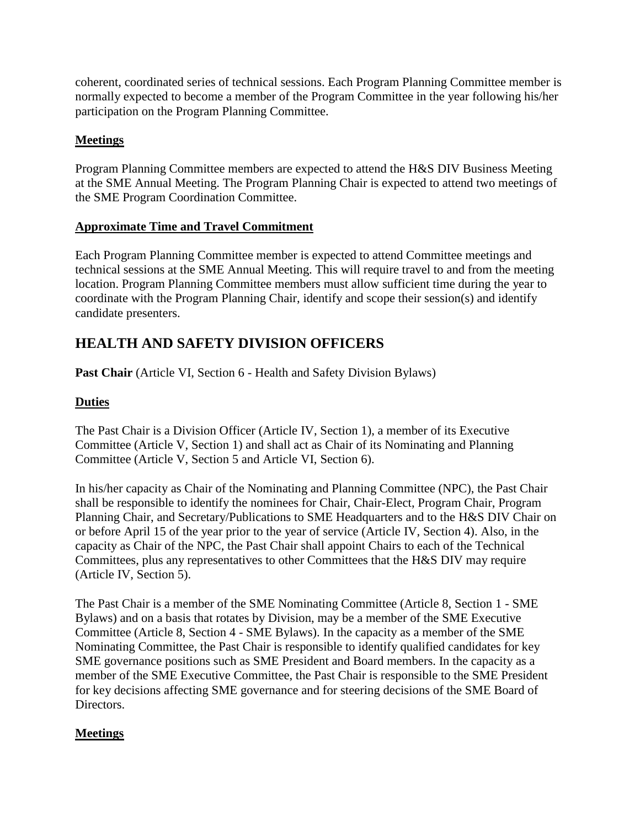coherent, coordinated series of technical sessions. Each Program Planning Committee member is normally expected to become a member of the Program Committee in the year following his/her participation on the Program Planning Committee.

## **Meetings**

Program Planning Committee members are expected to attend the H&S DIV Business Meeting at the SME Annual Meeting. The Program Planning Chair is expected to attend two meetings of the SME Program Coordination Committee.

## **Approximate Time and Travel Commitment**

Each Program Planning Committee member is expected to attend Committee meetings and technical sessions at the SME Annual Meeting. This will require travel to and from the meeting location. Program Planning Committee members must allow sufficient time during the year to coordinate with the Program Planning Chair, identify and scope their session(s) and identify candidate presenters.

# **HEALTH AND SAFETY DIVISION OFFICERS**

Past Chair (Article VI, Section 6 - Health and Safety Division Bylaws)

## **Duties**

The Past Chair is a Division Officer (Article IV, Section 1), a member of its Executive Committee (Article V, Section 1) and shall act as Chair of its Nominating and Planning Committee (Article V, Section 5 and Article VI, Section 6).

In his/her capacity as Chair of the Nominating and Planning Committee (NPC), the Past Chair shall be responsible to identify the nominees for Chair, Chair-Elect, Program Chair, Program Planning Chair, and Secretary/Publications to SME Headquarters and to the H&S DIV Chair on or before April 15 of the year prior to the year of service (Article IV, Section 4). Also, in the capacity as Chair of the NPC, the Past Chair shall appoint Chairs to each of the Technical Committees, plus any representatives to other Committees that the H&S DIV may require (Article IV, Section 5).

The Past Chair is a member of the SME Nominating Committee (Article 8, Section 1 - SME Bylaws) and on a basis that rotates by Division, may be a member of the SME Executive Committee (Article 8, Section 4 - SME Bylaws). In the capacity as a member of the SME Nominating Committee, the Past Chair is responsible to identify qualified candidates for key SME governance positions such as SME President and Board members. In the capacity as a member of the SME Executive Committee, the Past Chair is responsible to the SME President for key decisions affecting SME governance and for steering decisions of the SME Board of Directors.

## **Meetings**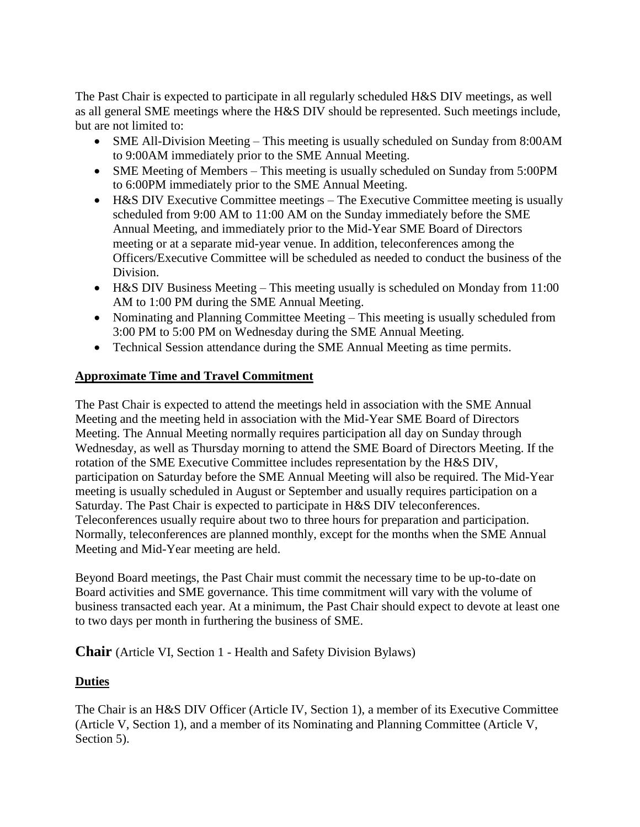The Past Chair is expected to participate in all regularly scheduled H&S DIV meetings, as well as all general SME meetings where the H&S DIV should be represented. Such meetings include, but are not limited to:

- SME All-Division Meeting This meeting is usually scheduled on Sunday from 8:00AM to 9:00AM immediately prior to the SME Annual Meeting.
- SME Meeting of Members This meeting is usually scheduled on Sunday from 5:00PM to 6:00PM immediately prior to the SME Annual Meeting.
- H&S DIV Executive Committee meetings The Executive Committee meeting is usually scheduled from 9:00 AM to 11:00 AM on the Sunday immediately before the SME Annual Meeting, and immediately prior to the Mid-Year SME Board of Directors meeting or at a separate mid-year venue. In addition, teleconferences among the Officers/Executive Committee will be scheduled as needed to conduct the business of the Division.
- H&S DIV Business Meeting This meeting usually is scheduled on Monday from 11:00 AM to 1:00 PM during the SME Annual Meeting.
- Nominating and Planning Committee Meeting This meeting is usually scheduled from 3:00 PM to 5:00 PM on Wednesday during the SME Annual Meeting.
- Technical Session attendance during the SME Annual Meeting as time permits.

## **Approximate Time and Travel Commitment**

The Past Chair is expected to attend the meetings held in association with the SME Annual Meeting and the meeting held in association with the Mid-Year SME Board of Directors Meeting. The Annual Meeting normally requires participation all day on Sunday through Wednesday, as well as Thursday morning to attend the SME Board of Directors Meeting. If the rotation of the SME Executive Committee includes representation by the H&S DIV, participation on Saturday before the SME Annual Meeting will also be required. The Mid-Year meeting is usually scheduled in August or September and usually requires participation on a Saturday. The Past Chair is expected to participate in H&S DIV teleconferences. Teleconferences usually require about two to three hours for preparation and participation. Normally, teleconferences are planned monthly, except for the months when the SME Annual Meeting and Mid-Year meeting are held.

Beyond Board meetings, the Past Chair must commit the necessary time to be up-to-date on Board activities and SME governance. This time commitment will vary with the volume of business transacted each year. At a minimum, the Past Chair should expect to devote at least one to two days per month in furthering the business of SME.

**Chair** (Article VI, Section 1 - Health and Safety Division Bylaws)

## **Duties**

The Chair is an H&S DIV Officer (Article IV, Section 1), a member of its Executive Committee (Article V, Section 1), and a member of its Nominating and Planning Committee (Article V, Section 5).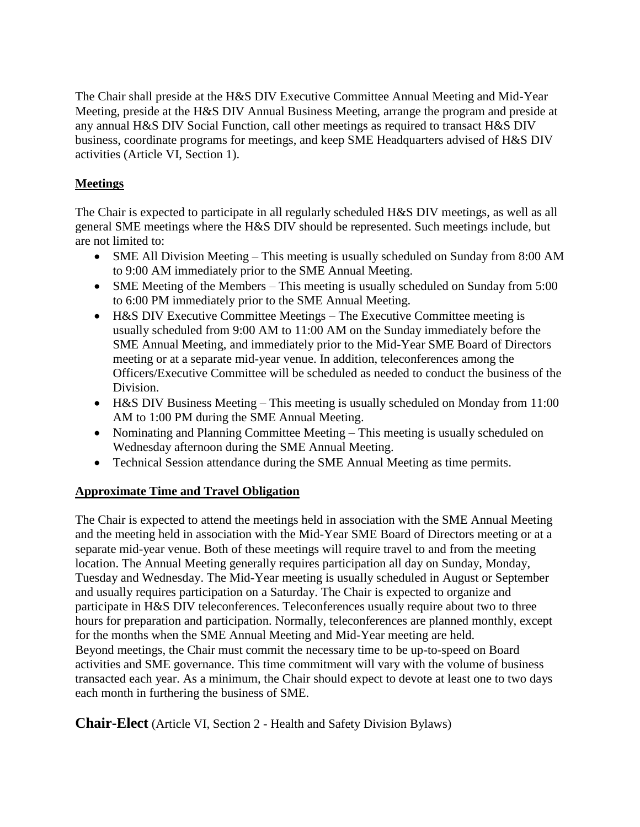The Chair shall preside at the H&S DIV Executive Committee Annual Meeting and Mid-Year Meeting, preside at the H&S DIV Annual Business Meeting, arrange the program and preside at any annual H&S DIV Social Function, call other meetings as required to transact H&S DIV business, coordinate programs for meetings, and keep SME Headquarters advised of H&S DIV activities (Article VI, Section 1).

## **Meetings**

The Chair is expected to participate in all regularly scheduled H&S DIV meetings, as well as all general SME meetings where the H&S DIV should be represented. Such meetings include, but are not limited to:

- SME All Division Meeting This meeting is usually scheduled on Sunday from 8:00 AM to 9:00 AM immediately prior to the SME Annual Meeting.
- SME Meeting of the Members This meeting is usually scheduled on Sunday from 5:00 to 6:00 PM immediately prior to the SME Annual Meeting.
- H&S DIV Executive Committee Meetings The Executive Committee meeting is usually scheduled from 9:00 AM to 11:00 AM on the Sunday immediately before the SME Annual Meeting, and immediately prior to the Mid-Year SME Board of Directors meeting or at a separate mid-year venue. In addition, teleconferences among the Officers/Executive Committee will be scheduled as needed to conduct the business of the Division.
- H&S DIV Business Meeting This meeting is usually scheduled on Monday from 11:00 AM to 1:00 PM during the SME Annual Meeting.
- Nominating and Planning Committee Meeting This meeting is usually scheduled on Wednesday afternoon during the SME Annual Meeting.
- Technical Session attendance during the SME Annual Meeting as time permits.

## **Approximate Time and Travel Obligation**

The Chair is expected to attend the meetings held in association with the SME Annual Meeting and the meeting held in association with the Mid-Year SME Board of Directors meeting or at a separate mid-year venue. Both of these meetings will require travel to and from the meeting location. The Annual Meeting generally requires participation all day on Sunday, Monday, Tuesday and Wednesday. The Mid-Year meeting is usually scheduled in August or September and usually requires participation on a Saturday. The Chair is expected to organize and participate in H&S DIV teleconferences. Teleconferences usually require about two to three hours for preparation and participation. Normally, teleconferences are planned monthly, except for the months when the SME Annual Meeting and Mid-Year meeting are held. Beyond meetings, the Chair must commit the necessary time to be up-to-speed on Board activities and SME governance. This time commitment will vary with the volume of business transacted each year. As a minimum, the Chair should expect to devote at least one to two days each month in furthering the business of SME.

**Chair-Elect** (Article VI, Section 2 - Health and Safety Division Bylaws)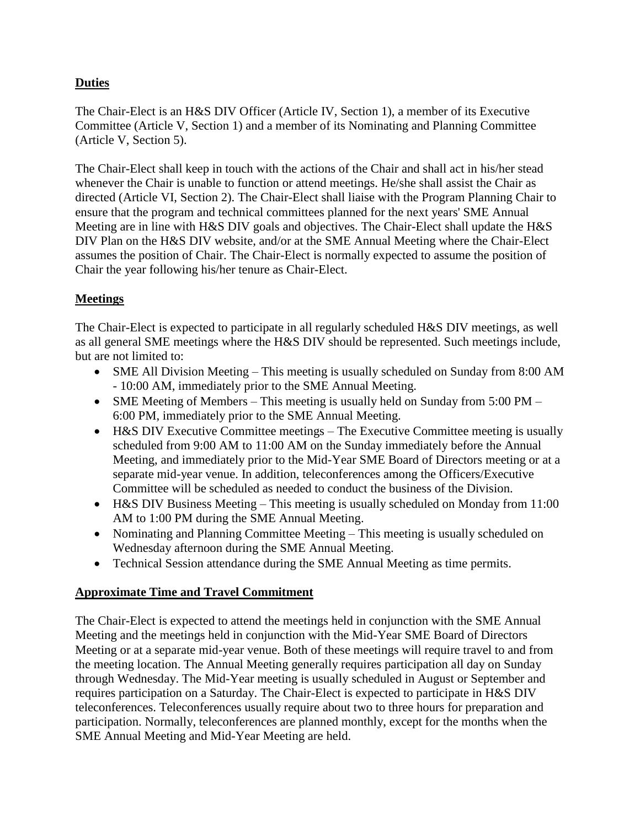## **Duties**

The Chair-Elect is an H&S DIV Officer (Article IV, Section 1), a member of its Executive Committee (Article V, Section 1) and a member of its Nominating and Planning Committee (Article V, Section 5).

The Chair-Elect shall keep in touch with the actions of the Chair and shall act in his/her stead whenever the Chair is unable to function or attend meetings. He/she shall assist the Chair as directed (Article VI, Section 2). The Chair-Elect shall liaise with the Program Planning Chair to ensure that the program and technical committees planned for the next years' SME Annual Meeting are in line with H&S DIV goals and objectives. The Chair-Elect shall update the H&S DIV Plan on the H&S DIV website, and/or at the SME Annual Meeting where the Chair-Elect assumes the position of Chair. The Chair-Elect is normally expected to assume the position of Chair the year following his/her tenure as Chair-Elect.

## **Meetings**

The Chair-Elect is expected to participate in all regularly scheduled H&S DIV meetings, as well as all general SME meetings where the H&S DIV should be represented. Such meetings include, but are not limited to:

- SME All Division Meeting This meeting is usually scheduled on Sunday from 8:00 AM - 10:00 AM, immediately prior to the SME Annual Meeting.
- SME Meeting of Members This meeting is usually held on Sunday from 5:00 PM 6:00 PM, immediately prior to the SME Annual Meeting.
- H&S DIV Executive Committee meetings The Executive Committee meeting is usually scheduled from 9:00 AM to 11:00 AM on the Sunday immediately before the Annual Meeting, and immediately prior to the Mid-Year SME Board of Directors meeting or at a separate mid-year venue. In addition, teleconferences among the Officers/Executive Committee will be scheduled as needed to conduct the business of the Division.
- H&S DIV Business Meeting This meeting is usually scheduled on Monday from 11:00 AM to 1:00 PM during the SME Annual Meeting.
- Nominating and Planning Committee Meeting This meeting is usually scheduled on Wednesday afternoon during the SME Annual Meeting.
- Technical Session attendance during the SME Annual Meeting as time permits.

## **Approximate Time and Travel Commitment**

The Chair-Elect is expected to attend the meetings held in conjunction with the SME Annual Meeting and the meetings held in conjunction with the Mid-Year SME Board of Directors Meeting or at a separate mid-year venue. Both of these meetings will require travel to and from the meeting location. The Annual Meeting generally requires participation all day on Sunday through Wednesday. The Mid-Year meeting is usually scheduled in August or September and requires participation on a Saturday. The Chair-Elect is expected to participate in H&S DIV teleconferences. Teleconferences usually require about two to three hours for preparation and participation. Normally, teleconferences are planned monthly, except for the months when the SME Annual Meeting and Mid-Year Meeting are held.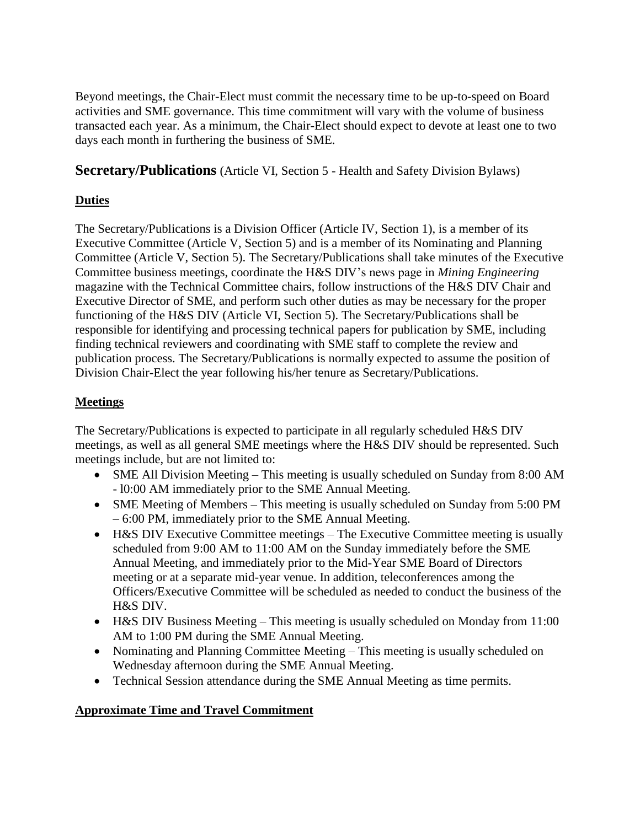Beyond meetings, the Chair-Elect must commit the necessary time to be up-to-speed on Board activities and SME governance. This time commitment will vary with the volume of business transacted each year. As a minimum, the Chair-Elect should expect to devote at least one to two days each month in furthering the business of SME.

**Secretary/Publications** (Article VI, Section 5 - Health and Safety Division Bylaws)

## **Duties**

The Secretary/Publications is a Division Officer (Article IV, Section 1), is a member of its Executive Committee (Article V, Section 5) and is a member of its Nominating and Planning Committee (Article V, Section 5). The Secretary/Publications shall take minutes of the Executive Committee business meetings, coordinate the H&S DIV's news page in *Mining Engineering*  magazine with the Technical Committee chairs, follow instructions of the H&S DIV Chair and Executive Director of SME, and perform such other duties as may be necessary for the proper functioning of the H&S DIV (Article VI, Section 5). The Secretary/Publications shall be responsible for identifying and processing technical papers for publication by SME, including finding technical reviewers and coordinating with SME staff to complete the review and publication process. The Secretary/Publications is normally expected to assume the position of Division Chair-Elect the year following his/her tenure as Secretary/Publications.

## **Meetings**

The Secretary/Publications is expected to participate in all regularly scheduled H&S DIV meetings, as well as all general SME meetings where the H&S DIV should be represented. Such meetings include, but are not limited to:

- SME All Division Meeting This meeting is usually scheduled on Sunday from 8:00 AM - l0:00 AM immediately prior to the SME Annual Meeting.
- SME Meeting of Members This meeting is usually scheduled on Sunday from 5:00 PM – 6:00 PM, immediately prior to the SME Annual Meeting.
- H&S DIV Executive Committee meetings The Executive Committee meeting is usually scheduled from 9:00 AM to 11:00 AM on the Sunday immediately before the SME Annual Meeting, and immediately prior to the Mid-Year SME Board of Directors meeting or at a separate mid-year venue. In addition, teleconferences among the Officers/Executive Committee will be scheduled as needed to conduct the business of the H&S DIV.
- H&S DIV Business Meeting This meeting is usually scheduled on Monday from 11:00 AM to 1:00 PM during the SME Annual Meeting.
- Nominating and Planning Committee Meeting This meeting is usually scheduled on Wednesday afternoon during the SME Annual Meeting.
- Technical Session attendance during the SME Annual Meeting as time permits.

## **Approximate Time and Travel Commitment**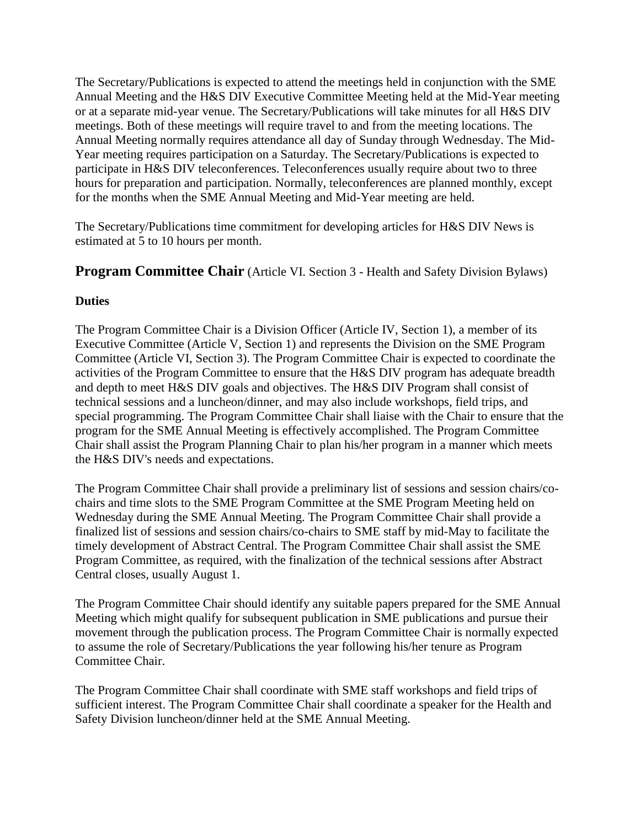The Secretary/Publications is expected to attend the meetings held in conjunction with the SME Annual Meeting and the H&S DIV Executive Committee Meeting held at the Mid-Year meeting or at a separate mid-year venue. The Secretary/Publications will take minutes for all H&S DIV meetings. Both of these meetings will require travel to and from the meeting locations. The Annual Meeting normally requires attendance all day of Sunday through Wednesday. The Mid-Year meeting requires participation on a Saturday. The Secretary/Publications is expected to participate in H&S DIV teleconferences. Teleconferences usually require about two to three hours for preparation and participation. Normally, teleconferences are planned monthly, except for the months when the SME Annual Meeting and Mid-Year meeting are held.

The Secretary/Publications time commitment for developing articles for H&S DIV News is estimated at 5 to 10 hours per month.

**Program Committee Chair** (Article VI. Section 3 - Health and Safety Division Bylaws)

## **Duties**

The Program Committee Chair is a Division Officer (Article IV, Section 1), a member of its Executive Committee (Article V, Section 1) and represents the Division on the SME Program Committee (Article VI, Section 3). The Program Committee Chair is expected to coordinate the activities of the Program Committee to ensure that the H&S DIV program has adequate breadth and depth to meet H&S DIV goals and objectives. The H&S DIV Program shall consist of technical sessions and a luncheon/dinner, and may also include workshops, field trips, and special programming. The Program Committee Chair shall liaise with the Chair to ensure that the program for the SME Annual Meeting is effectively accomplished. The Program Committee Chair shall assist the Program Planning Chair to plan his/her program in a manner which meets the H&S DIV's needs and expectations.

The Program Committee Chair shall provide a preliminary list of sessions and session chairs/cochairs and time slots to the SME Program Committee at the SME Program Meeting held on Wednesday during the SME Annual Meeting. The Program Committee Chair shall provide a finalized list of sessions and session chairs/co-chairs to SME staff by mid-May to facilitate the timely development of Abstract Central. The Program Committee Chair shall assist the SME Program Committee, as required, with the finalization of the technical sessions after Abstract Central closes, usually August 1.

The Program Committee Chair should identify any suitable papers prepared for the SME Annual Meeting which might qualify for subsequent publication in SME publications and pursue their movement through the publication process. The Program Committee Chair is normally expected to assume the role of Secretary/Publications the year following his/her tenure as Program Committee Chair.

The Program Committee Chair shall coordinate with SME staff workshops and field trips of sufficient interest. The Program Committee Chair shall coordinate a speaker for the Health and Safety Division luncheon/dinner held at the SME Annual Meeting.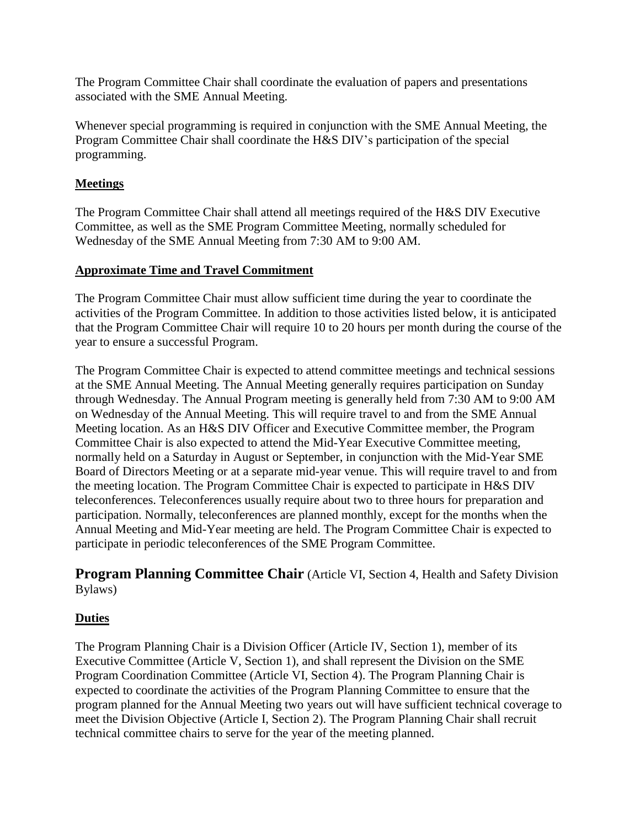The Program Committee Chair shall coordinate the evaluation of papers and presentations associated with the SME Annual Meeting.

Whenever special programming is required in conjunction with the SME Annual Meeting, the Program Committee Chair shall coordinate the H&S DIV's participation of the special programming.

## **Meetings**

The Program Committee Chair shall attend all meetings required of the H&S DIV Executive Committee, as well as the SME Program Committee Meeting, normally scheduled for Wednesday of the SME Annual Meeting from 7:30 AM to 9:00 AM.

## **Approximate Time and Travel Commitment**

The Program Committee Chair must allow sufficient time during the year to coordinate the activities of the Program Committee. In addition to those activities listed below, it is anticipated that the Program Committee Chair will require 10 to 20 hours per month during the course of the year to ensure a successful Program.

The Program Committee Chair is expected to attend committee meetings and technical sessions at the SME Annual Meeting. The Annual Meeting generally requires participation on Sunday through Wednesday. The Annual Program meeting is generally held from 7:30 AM to 9:00 AM on Wednesday of the Annual Meeting. This will require travel to and from the SME Annual Meeting location. As an H&S DIV Officer and Executive Committee member, the Program Committee Chair is also expected to attend the Mid-Year Executive Committee meeting, normally held on a Saturday in August or September, in conjunction with the Mid-Year SME Board of Directors Meeting or at a separate mid-year venue. This will require travel to and from the meeting location. The Program Committee Chair is expected to participate in H&S DIV teleconferences. Teleconferences usually require about two to three hours for preparation and participation. Normally, teleconferences are planned monthly, except for the months when the Annual Meeting and Mid-Year meeting are held. The Program Committee Chair is expected to participate in periodic teleconferences of the SME Program Committee.

## **Program Planning Committee Chair** (Article VI, Section 4, Health and Safety Division Bylaws)

## **Duties**

The Program Planning Chair is a Division Officer (Article IV, Section 1), member of its Executive Committee (Article V, Section 1), and shall represent the Division on the SME Program Coordination Committee (Article VI, Section 4). The Program Planning Chair is expected to coordinate the activities of the Program Planning Committee to ensure that the program planned for the Annual Meeting two years out will have sufficient technical coverage to meet the Division Objective (Article I, Section 2). The Program Planning Chair shall recruit technical committee chairs to serve for the year of the meeting planned.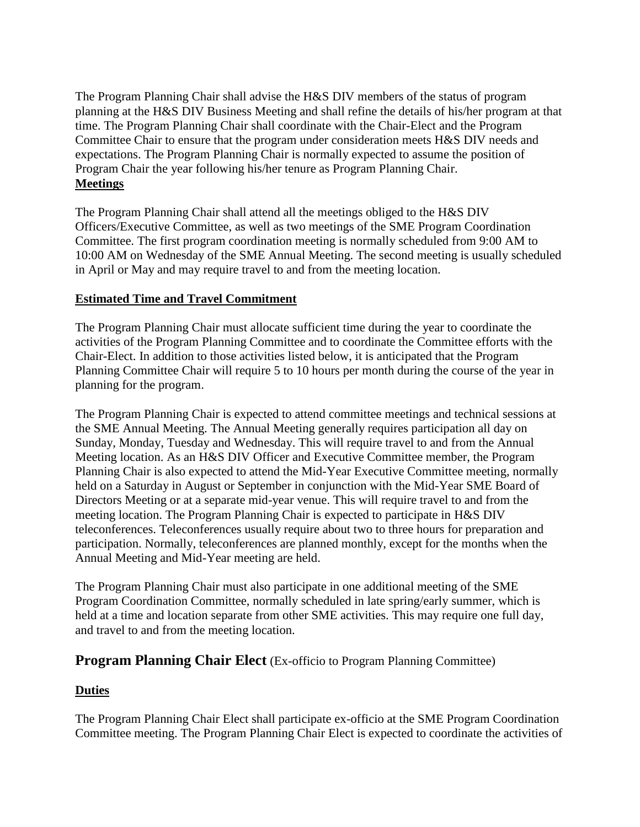The Program Planning Chair shall advise the H&S DIV members of the status of program planning at the H&S DIV Business Meeting and shall refine the details of his/her program at that time. The Program Planning Chair shall coordinate with the Chair-Elect and the Program Committee Chair to ensure that the program under consideration meets H&S DIV needs and expectations. The Program Planning Chair is normally expected to assume the position of Program Chair the year following his/her tenure as Program Planning Chair. **Meetings** 

The Program Planning Chair shall attend all the meetings obliged to the H&S DIV Officers/Executive Committee, as well as two meetings of the SME Program Coordination Committee. The first program coordination meeting is normally scheduled from 9:00 AM to 10:00 AM on Wednesday of the SME Annual Meeting. The second meeting is usually scheduled in April or May and may require travel to and from the meeting location.

#### **Estimated Time and Travel Commitment**

The Program Planning Chair must allocate sufficient time during the year to coordinate the activities of the Program Planning Committee and to coordinate the Committee efforts with the Chair-Elect. In addition to those activities listed below, it is anticipated that the Program Planning Committee Chair will require 5 to 10 hours per month during the course of the year in planning for the program.

The Program Planning Chair is expected to attend committee meetings and technical sessions at the SME Annual Meeting. The Annual Meeting generally requires participation all day on Sunday, Monday, Tuesday and Wednesday. This will require travel to and from the Annual Meeting location. As an H&S DIV Officer and Executive Committee member, the Program Planning Chair is also expected to attend the Mid-Year Executive Committee meeting, normally held on a Saturday in August or September in conjunction with the Mid-Year SME Board of Directors Meeting or at a separate mid-year venue. This will require travel to and from the meeting location. The Program Planning Chair is expected to participate in H&S DIV teleconferences. Teleconferences usually require about two to three hours for preparation and participation. Normally, teleconferences are planned monthly, except for the months when the Annual Meeting and Mid-Year meeting are held.

The Program Planning Chair must also participate in one additional meeting of the SME Program Coordination Committee, normally scheduled in late spring/early summer, which is held at a time and location separate from other SME activities. This may require one full day, and travel to and from the meeting location.

## **Program Planning Chair Elect** (Ex-officio to Program Planning Committee)

## **Duties**

The Program Planning Chair Elect shall participate ex-officio at the SME Program Coordination Committee meeting. The Program Planning Chair Elect is expected to coordinate the activities of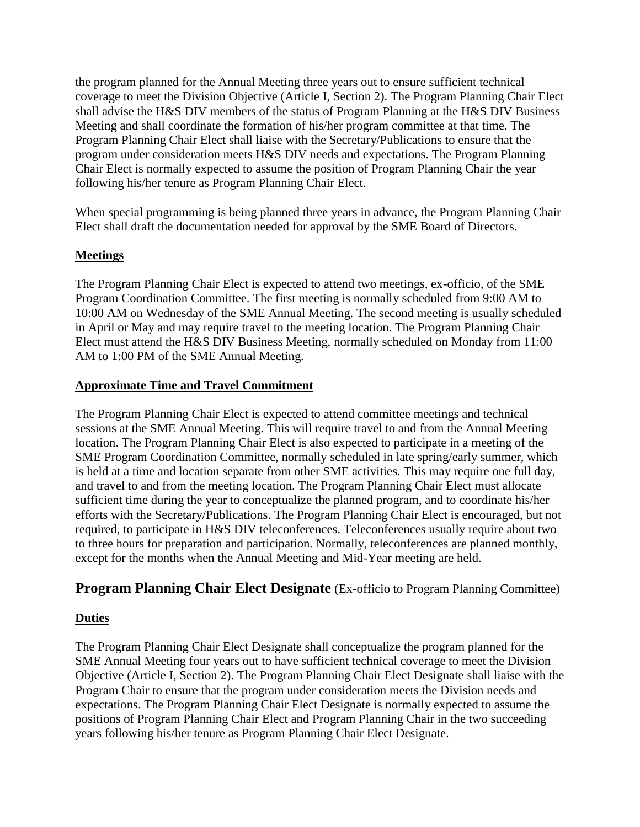the program planned for the Annual Meeting three years out to ensure sufficient technical coverage to meet the Division Objective (Article I, Section 2). The Program Planning Chair Elect shall advise the H&S DIV members of the status of Program Planning at the H&S DIV Business Meeting and shall coordinate the formation of his/her program committee at that time. The Program Planning Chair Elect shall liaise with the Secretary/Publications to ensure that the program under consideration meets H&S DIV needs and expectations. The Program Planning Chair Elect is normally expected to assume the position of Program Planning Chair the year following his/her tenure as Program Planning Chair Elect.

When special programming is being planned three years in advance, the Program Planning Chair Elect shall draft the documentation needed for approval by the SME Board of Directors.

#### **Meetings**

The Program Planning Chair Elect is expected to attend two meetings, ex-officio, of the SME Program Coordination Committee. The first meeting is normally scheduled from 9:00 AM to 10:00 AM on Wednesday of the SME Annual Meeting. The second meeting is usually scheduled in April or May and may require travel to the meeting location. The Program Planning Chair Elect must attend the H&S DIV Business Meeting, normally scheduled on Monday from 11:00 AM to 1:00 PM of the SME Annual Meeting.

#### **Approximate Time and Travel Commitment**

The Program Planning Chair Elect is expected to attend committee meetings and technical sessions at the SME Annual Meeting. This will require travel to and from the Annual Meeting location. The Program Planning Chair Elect is also expected to participate in a meeting of the SME Program Coordination Committee, normally scheduled in late spring/early summer, which is held at a time and location separate from other SME activities. This may require one full day, and travel to and from the meeting location. The Program Planning Chair Elect must allocate sufficient time during the year to conceptualize the planned program, and to coordinate his/her efforts with the Secretary/Publications. The Program Planning Chair Elect is encouraged, but not required, to participate in H&S DIV teleconferences. Teleconferences usually require about two to three hours for preparation and participation. Normally, teleconferences are planned monthly, except for the months when the Annual Meeting and Mid-Year meeting are held.

## **Program Planning Chair Elect Designate** (Ex-officio to Program Planning Committee)

#### **Duties**

The Program Planning Chair Elect Designate shall conceptualize the program planned for the SME Annual Meeting four years out to have sufficient technical coverage to meet the Division Objective (Article I, Section 2). The Program Planning Chair Elect Designate shall liaise with the Program Chair to ensure that the program under consideration meets the Division needs and expectations. The Program Planning Chair Elect Designate is normally expected to assume the positions of Program Planning Chair Elect and Program Planning Chair in the two succeeding years following his/her tenure as Program Planning Chair Elect Designate.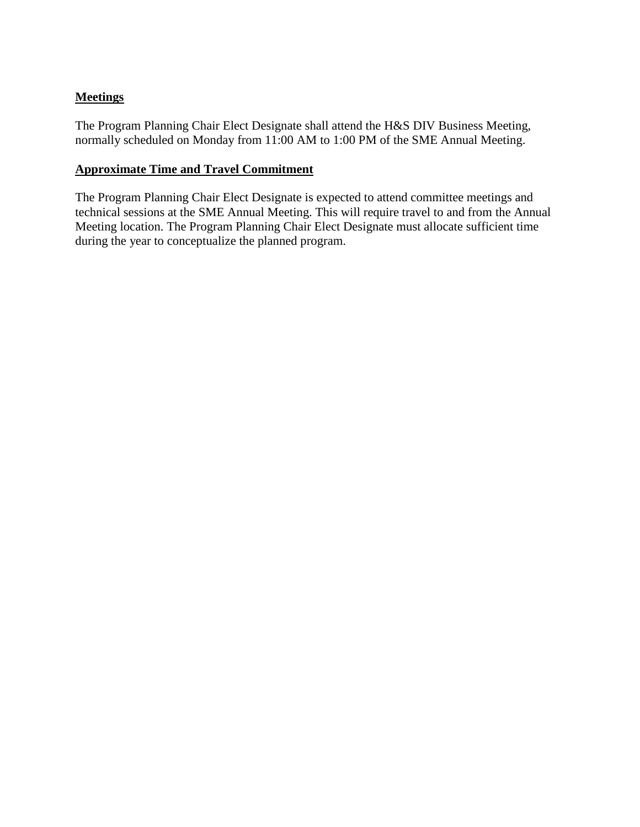## **Meetings**

The Program Planning Chair Elect Designate shall attend the H&S DIV Business Meeting, normally scheduled on Monday from 11:00 AM to 1:00 PM of the SME Annual Meeting.

#### **Approximate Time and Travel Commitment**

The Program Planning Chair Elect Designate is expected to attend committee meetings and technical sessions at the SME Annual Meeting. This will require travel to and from the Annual Meeting location. The Program Planning Chair Elect Designate must allocate sufficient time during the year to conceptualize the planned program.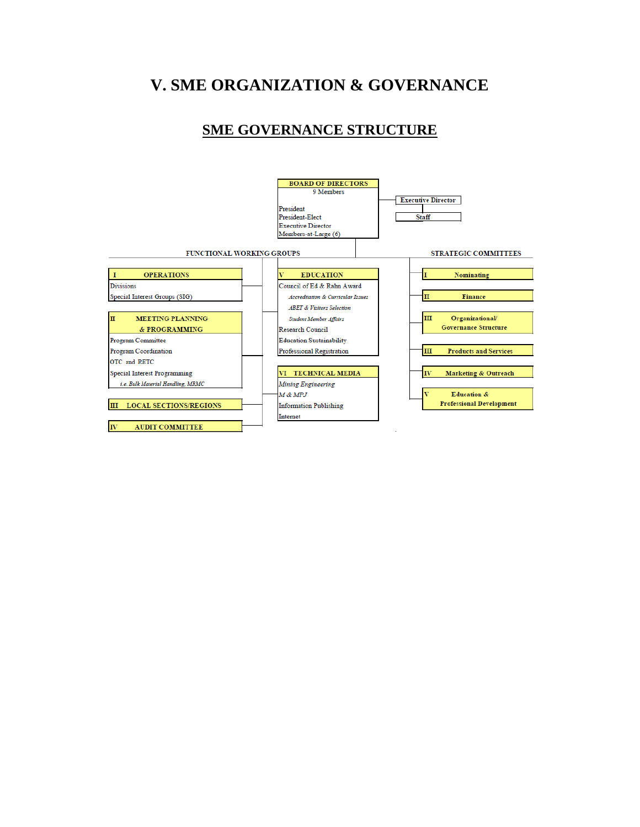# **V. SME ORGANIZATION & GOVERNANCE**

## **SME GOVERNANCE STRUCTURE**

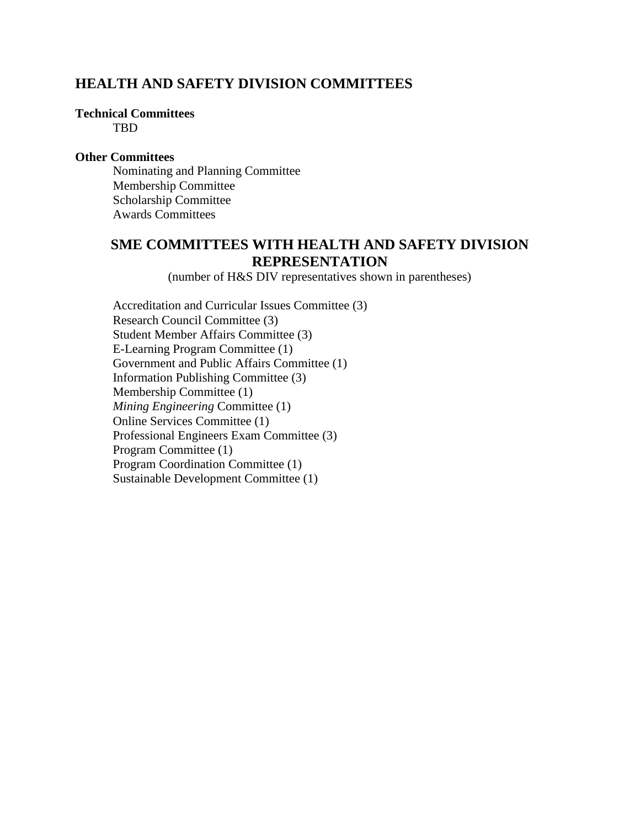## **HEALTH AND SAFETY DIVISION COMMITTEES**

## **Technical Committees**

TBD

#### **Other Committees**

Nominating and Planning Committee Membership Committee Scholarship Committee Awards Committees

## **SME COMMITTEES WITH HEALTH AND SAFETY DIVISION REPRESENTATION**

(number of H&S DIV representatives shown in parentheses)

Accreditation and Curricular Issues Committee (3) Research Council Committee (3) Student Member Affairs Committee (3) E-Learning Program Committee (1) Government and Public Affairs Committee (1) Information Publishing Committee (3) Membership Committee (1) *Mining Engineering* Committee (1) Online Services Committee (1) Professional Engineers Exam Committee (3) Program Committee (1) Program Coordination Committee (1) Sustainable Development Committee (1)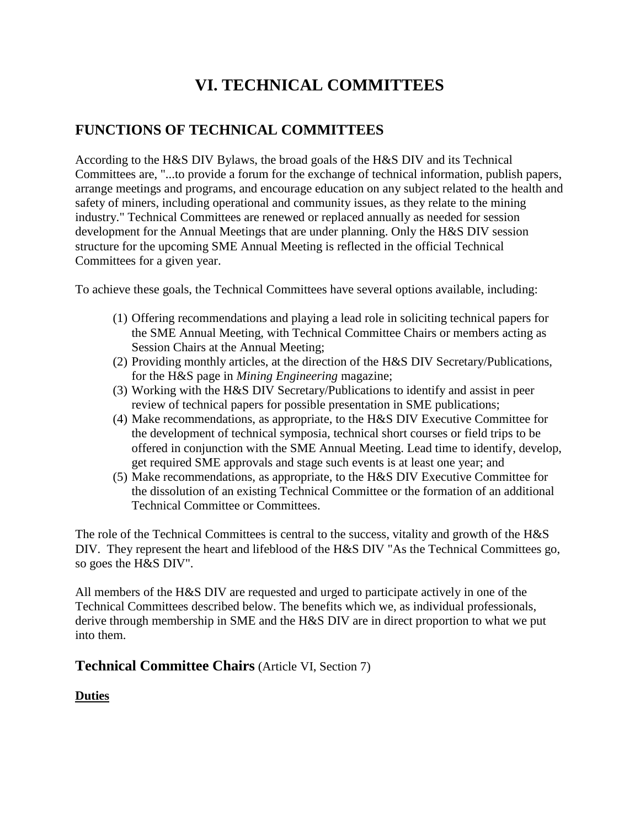# **VI. TECHNICAL COMMITTEES**

## **FUNCTIONS OF TECHNICAL COMMITTEES**

According to the H&S DIV Bylaws, the broad goals of the H&S DIV and its Technical Committees are, "...to provide a forum for the exchange of technical information, publish papers, arrange meetings and programs, and encourage education on any subject related to the health and safety of miners, including operational and community issues, as they relate to the mining industry." Technical Committees are renewed or replaced annually as needed for session development for the Annual Meetings that are under planning. Only the H&S DIV session structure for the upcoming SME Annual Meeting is reflected in the official Technical Committees for a given year.

To achieve these goals, the Technical Committees have several options available, including:

- (1) Offering recommendations and playing a lead role in soliciting technical papers for the SME Annual Meeting, with Technical Committee Chairs or members acting as Session Chairs at the Annual Meeting;
- (2) Providing monthly articles, at the direction of the H&S DIV Secretary/Publications, for the H&S page in *Mining Engineering* magazine;
- (3) Working with the H&S DIV Secretary/Publications to identify and assist in peer review of technical papers for possible presentation in SME publications;
- (4) Make recommendations, as appropriate, to the H&S DIV Executive Committee for the development of technical symposia, technical short courses or field trips to be offered in conjunction with the SME Annual Meeting. Lead time to identify, develop, get required SME approvals and stage such events is at least one year; and
- (5) Make recommendations, as appropriate, to the H&S DIV Executive Committee for the dissolution of an existing Technical Committee or the formation of an additional Technical Committee or Committees.

The role of the Technical Committees is central to the success, vitality and growth of the H&S DIV. They represent the heart and lifeblood of the H&S DIV "As the Technical Committees go, so goes the H&S DIV".

All members of the H&S DIV are requested and urged to participate actively in one of the Technical Committees described below. The benefits which we, as individual professionals, derive through membership in SME and the H&S DIV are in direct proportion to what we put into them.

## **Technical Committee Chairs** (Article VI, Section 7)

## **Duties**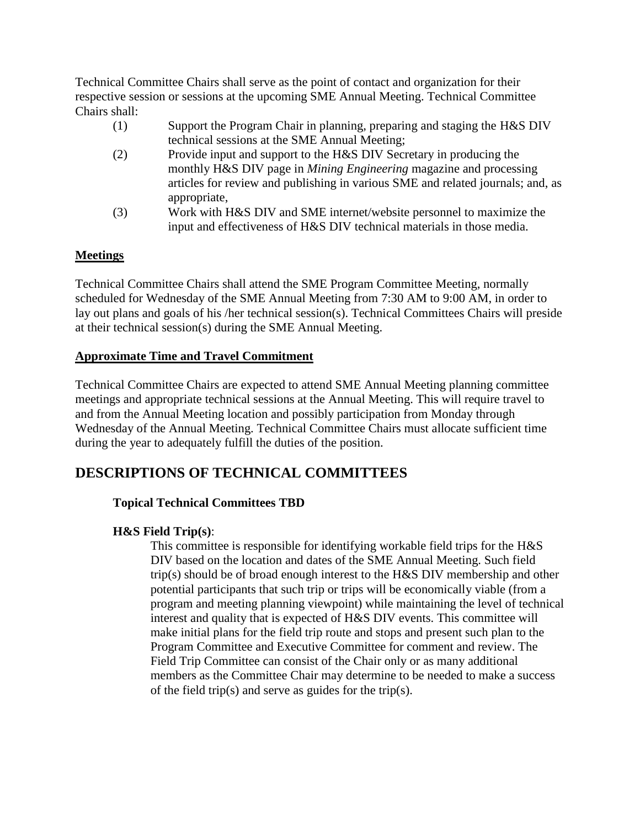Technical Committee Chairs shall serve as the point of contact and organization for their respective session or sessions at the upcoming SME Annual Meeting. Technical Committee Chairs shall:

- (1) Support the Program Chair in planning, preparing and staging the H&S DIV technical sessions at the SME Annual Meeting;
- (2) Provide input and support to the H&S DIV Secretary in producing the monthly H&S DIV page in *Mining Engineering* magazine and processing articles for review and publishing in various SME and related journals; and, as appropriate,
- (3) Work with H&S DIV and SME internet/website personnel to maximize the input and effectiveness of H&S DIV technical materials in those media.

## **Meetings**

Technical Committee Chairs shall attend the SME Program Committee Meeting, normally scheduled for Wednesday of the SME Annual Meeting from 7:30 AM to 9:00 AM, in order to lay out plans and goals of his /her technical session(s). Technical Committees Chairs will preside at their technical session(s) during the SME Annual Meeting.

## **Approximate Time and Travel Commitment**

Technical Committee Chairs are expected to attend SME Annual Meeting planning committee meetings and appropriate technical sessions at the Annual Meeting. This will require travel to and from the Annual Meeting location and possibly participation from Monday through Wednesday of the Annual Meeting. Technical Committee Chairs must allocate sufficient time during the year to adequately fulfill the duties of the position.

## **DESCRIPTIONS OF TECHNICAL COMMITTEES**

## **Topical Technical Committees TBD**

## **H&S Field Trip(s)**:

This committee is responsible for identifying workable field trips for the H&S DIV based on the location and dates of the SME Annual Meeting. Such field trip(s) should be of broad enough interest to the H&S DIV membership and other potential participants that such trip or trips will be economically viable (from a program and meeting planning viewpoint) while maintaining the level of technical interest and quality that is expected of H&S DIV events. This committee will make initial plans for the field trip route and stops and present such plan to the Program Committee and Executive Committee for comment and review. The Field Trip Committee can consist of the Chair only or as many additional members as the Committee Chair may determine to be needed to make a success of the field trip(s) and serve as guides for the trip(s).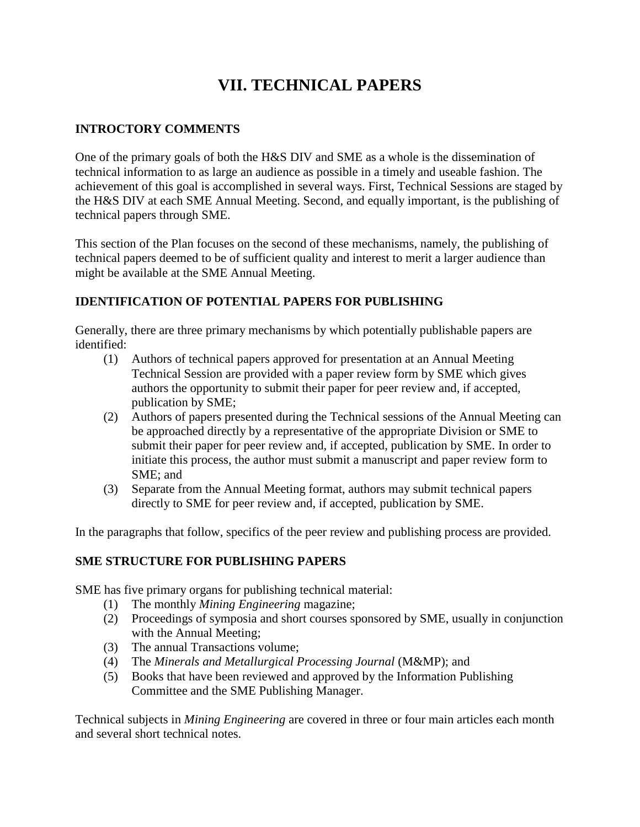# **VII. TECHNICAL PAPERS**

## **INTROCTORY COMMENTS**

One of the primary goals of both the H&S DIV and SME as a whole is the dissemination of technical information to as large an audience as possible in a timely and useable fashion. The achievement of this goal is accomplished in several ways. First, Technical Sessions are staged by the H&S DIV at each SME Annual Meeting. Second, and equally important, is the publishing of technical papers through SME.

This section of the Plan focuses on the second of these mechanisms, namely, the publishing of technical papers deemed to be of sufficient quality and interest to merit a larger audience than might be available at the SME Annual Meeting.

## **IDENTIFICATION OF POTENTIAL PAPERS FOR PUBLISHING**

Generally, there are three primary mechanisms by which potentially publishable papers are identified:

- (1) Authors of technical papers approved for presentation at an Annual Meeting Technical Session are provided with a paper review form by SME which gives authors the opportunity to submit their paper for peer review and, if accepted, publication by SME;
- (2) Authors of papers presented during the Technical sessions of the Annual Meeting can be approached directly by a representative of the appropriate Division or SME to submit their paper for peer review and, if accepted, publication by SME. In order to initiate this process, the author must submit a manuscript and paper review form to SME; and
- (3) Separate from the Annual Meeting format, authors may submit technical papers directly to SME for peer review and, if accepted, publication by SME.

In the paragraphs that follow, specifics of the peer review and publishing process are provided.

## **SME STRUCTURE FOR PUBLISHING PAPERS**

SME has five primary organs for publishing technical material:

- (1) The monthly *Mining Engineering* magazine;
- (2) Proceedings of symposia and short courses sponsored by SME, usually in conjunction with the Annual Meeting;
- (3) The annual Transactions volume;
- (4) The *Minerals and Metallurgical Processing Journal* (M&MP); and
- (5) Books that have been reviewed and approved by the Information Publishing Committee and the SME Publishing Manager.

Technical subjects in *Mining Engineering* are covered in three or four main articles each month and several short technical notes.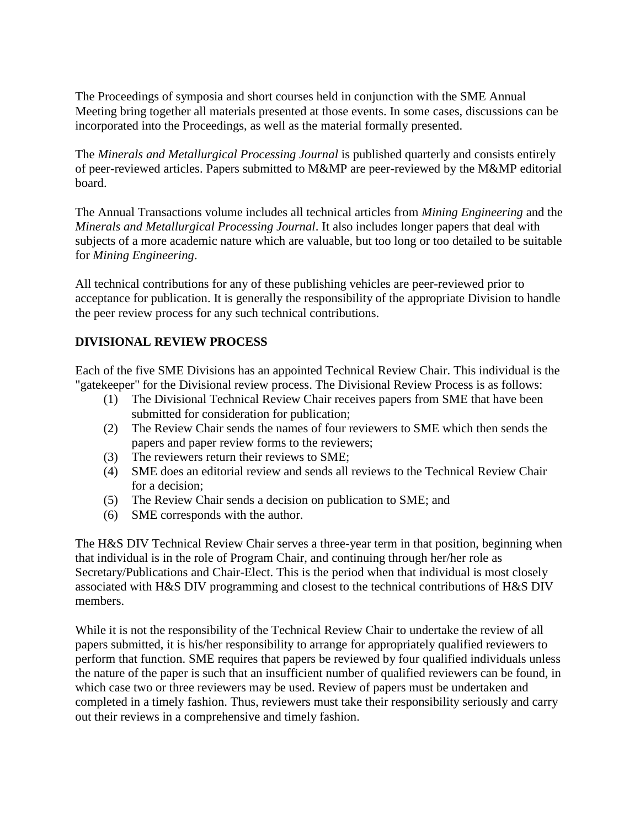The Proceedings of symposia and short courses held in conjunction with the SME Annual Meeting bring together all materials presented at those events. In some cases, discussions can be incorporated into the Proceedings, as well as the material formally presented.

The *Minerals and Metallurgical Processing Journal* is published quarterly and consists entirely of peer-reviewed articles. Papers submitted to M&MP are peer-reviewed by the M&MP editorial board.

The Annual Transactions volume includes all technical articles from *Mining Engineering* and the *Minerals and Metallurgical Processing Journal*. It also includes longer papers that deal with subjects of a more academic nature which are valuable, but too long or too detailed to be suitable for *Mining Engineering*.

All technical contributions for any of these publishing vehicles are peer-reviewed prior to acceptance for publication. It is generally the responsibility of the appropriate Division to handle the peer review process for any such technical contributions.

## **DIVISIONAL REVIEW PROCESS**

Each of the five SME Divisions has an appointed Technical Review Chair. This individual is the "gatekeeper" for the Divisional review process. The Divisional Review Process is as follows:

- (1) The Divisional Technical Review Chair receives papers from SME that have been submitted for consideration for publication;
- (2) The Review Chair sends the names of four reviewers to SME which then sends the papers and paper review forms to the reviewers;
- (3) The reviewers return their reviews to SME;
- (4) SME does an editorial review and sends all reviews to the Technical Review Chair for a decision;
- (5) The Review Chair sends a decision on publication to SME; and
- (6) SME corresponds with the author.

The H&S DIV Technical Review Chair serves a three-year term in that position, beginning when that individual is in the role of Program Chair, and continuing through her/her role as Secretary/Publications and Chair-Elect. This is the period when that individual is most closely associated with H&S DIV programming and closest to the technical contributions of H&S DIV members.

While it is not the responsibility of the Technical Review Chair to undertake the review of all papers submitted, it is his/her responsibility to arrange for appropriately qualified reviewers to perform that function. SME requires that papers be reviewed by four qualified individuals unless the nature of the paper is such that an insufficient number of qualified reviewers can be found, in which case two or three reviewers may be used. Review of papers must be undertaken and completed in a timely fashion. Thus, reviewers must take their responsibility seriously and carry out their reviews in a comprehensive and timely fashion.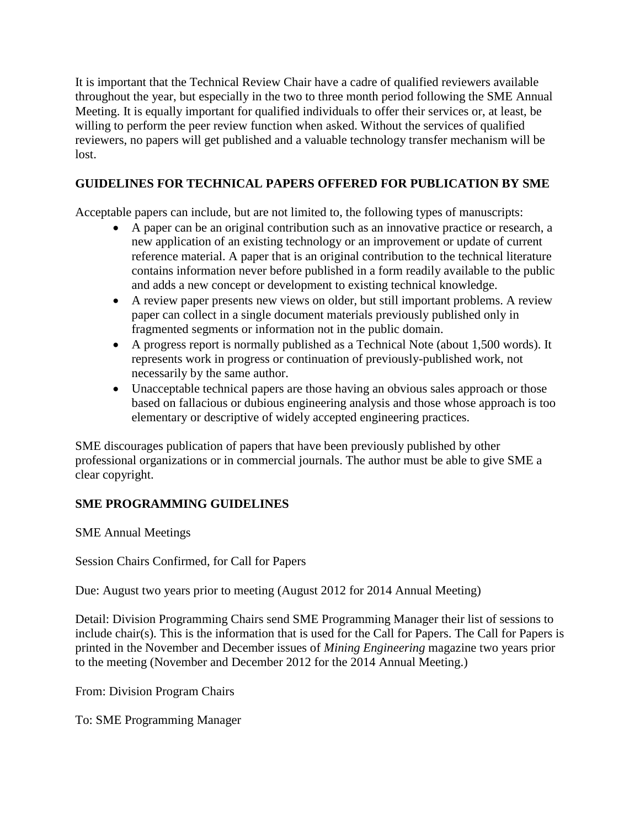It is important that the Technical Review Chair have a cadre of qualified reviewers available throughout the year, but especially in the two to three month period following the SME Annual Meeting. It is equally important for qualified individuals to offer their services or, at least, be willing to perform the peer review function when asked. Without the services of qualified reviewers, no papers will get published and a valuable technology transfer mechanism will be lost.

## **GUIDELINES FOR TECHNICAL PAPERS OFFERED FOR PUBLICATION BY SME**

Acceptable papers can include, but are not limited to, the following types of manuscripts:

- A paper can be an original contribution such as an innovative practice or research, a new application of an existing technology or an improvement or update of current reference material. A paper that is an original contribution to the technical literature contains information never before published in a form readily available to the public and adds a new concept or development to existing technical knowledge.
- A review paper presents new views on older, but still important problems. A review paper can collect in a single document materials previously published only in fragmented segments or information not in the public domain.
- A progress report is normally published as a Technical Note (about 1,500 words). It represents work in progress or continuation of previously-published work, not necessarily by the same author.
- Unacceptable technical papers are those having an obvious sales approach or those based on fallacious or dubious engineering analysis and those whose approach is too elementary or descriptive of widely accepted engineering practices.

SME discourages publication of papers that have been previously published by other professional organizations or in commercial journals. The author must be able to give SME a clear copyright.

## **SME PROGRAMMING GUIDELINES**

SME Annual Meetings

Session Chairs Confirmed, for Call for Papers

Due: August two years prior to meeting (August 2012 for 2014 Annual Meeting)

Detail: Division Programming Chairs send SME Programming Manager their list of sessions to include chair(s). This is the information that is used for the Call for Papers. The Call for Papers is printed in the November and December issues of *Mining Engineering* magazine two years prior to the meeting (November and December 2012 for the 2014 Annual Meeting.)

From: Division Program Chairs

To: SME Programming Manager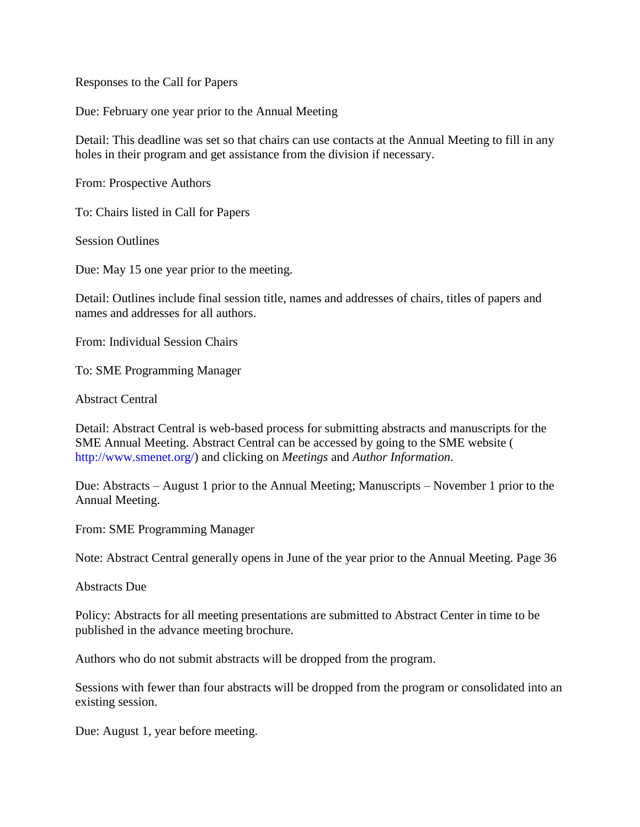Responses to the Call for Papers

Due: February one year prior to the Annual Meeting

Detail: This deadline was set so that chairs can use contacts at the Annual Meeting to fill in any holes in their program and get assistance from the division if necessary.

From: Prospective Authors

To: Chairs listed in Call for Papers

Session Outlines

Due: May 15 one year prior to the meeting.

Detail: Outlines include final session title, names and addresses of chairs, titles of papers and names and addresses for all authors.

From: Individual Session Chairs

To: SME Programming Manager

Abstract Central

Detail: Abstract Central is web-based process for submitting abstracts and manuscripts for the SME Annual Meeting. Abstract Central can be accessed by going to the SME website ( http://www.smenet.org/) and clicking on *Meetings* and *Author Information*.

Due: Abstracts – August 1 prior to the Annual Meeting; Manuscripts – November 1 prior to the Annual Meeting.

From: SME Programming Manager

Note: Abstract Central generally opens in June of the year prior to the Annual Meeting. Page 36

Abstracts Due

Policy: Abstracts for all meeting presentations are submitted to Abstract Center in time to be published in the advance meeting brochure.

Authors who do not submit abstracts will be dropped from the program.

Sessions with fewer than four abstracts will be dropped from the program or consolidated into an existing session.

Due: August 1, year before meeting.